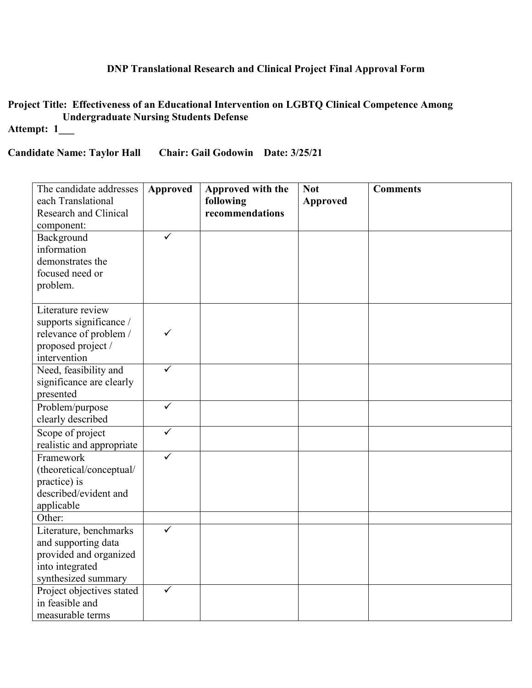## **DNP Translational Research and Clinical Project Final Approval Form**

**Project Title: Effectiveness of an Educational Intervention on LGBTQ Clinical Competence Among Undergraduate Nursing Students Defense** 

# **Attempt: 1\_\_\_**

#### **Candidate Name: Taylor Hall Chair: Gail Godowin Date: 3/25/21**

| The candidate addresses      | <b>Approved</b> | Approved with the | <b>Not</b>      | <b>Comments</b> |
|------------------------------|-----------------|-------------------|-----------------|-----------------|
| each Translational           |                 | following         | <b>Approved</b> |                 |
| <b>Research and Clinical</b> |                 | recommendations   |                 |                 |
| component:                   |                 |                   |                 |                 |
| Background                   | ✓               |                   |                 |                 |
| information                  |                 |                   |                 |                 |
| demonstrates the             |                 |                   |                 |                 |
| focused need or              |                 |                   |                 |                 |
| problem.                     |                 |                   |                 |                 |
|                              |                 |                   |                 |                 |
| Literature review            |                 |                   |                 |                 |
| supports significance /      |                 |                   |                 |                 |
| relevance of problem /       | ✓               |                   |                 |                 |
| proposed project /           |                 |                   |                 |                 |
| intervention                 |                 |                   |                 |                 |
| Need, feasibility and        | ✓               |                   |                 |                 |
| significance are clearly     |                 |                   |                 |                 |
| presented                    |                 |                   |                 |                 |
| Problem/purpose              | $\checkmark$    |                   |                 |                 |
| clearly described            |                 |                   |                 |                 |
| Scope of project             | $\checkmark$    |                   |                 |                 |
| realistic and appropriate    |                 |                   |                 |                 |
| Framework                    | ✓               |                   |                 |                 |
| (theoretical/conceptual/     |                 |                   |                 |                 |
| practice) is                 |                 |                   |                 |                 |
| described/evident and        |                 |                   |                 |                 |
| applicable                   |                 |                   |                 |                 |
| Other:                       |                 |                   |                 |                 |
| Literature, benchmarks       |                 |                   |                 |                 |
| and supporting data          |                 |                   |                 |                 |
| provided and organized       |                 |                   |                 |                 |
| into integrated              |                 |                   |                 |                 |
| synthesized summary          |                 |                   |                 |                 |
| Project objectives stated    | $\checkmark$    |                   |                 |                 |
| in feasible and              |                 |                   |                 |                 |
| measurable terms             |                 |                   |                 |                 |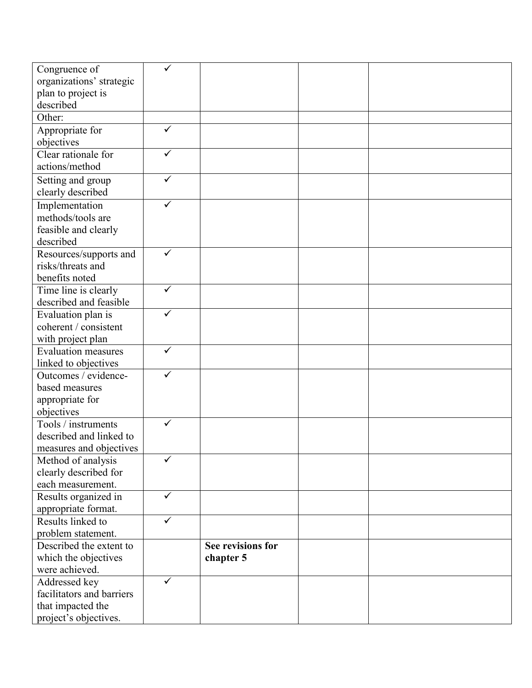| Congruence of                               |              |                   |  |
|---------------------------------------------|--------------|-------------------|--|
| organizations' strategic                    |              |                   |  |
| plan to project is                          |              |                   |  |
| described                                   |              |                   |  |
| Other:                                      |              |                   |  |
| Appropriate for                             | $\checkmark$ |                   |  |
| objectives                                  |              |                   |  |
| Clear rationale for                         | ✓            |                   |  |
| actions/method                              |              |                   |  |
| Setting and group                           | $\checkmark$ |                   |  |
| clearly described                           |              |                   |  |
|                                             | ✓            |                   |  |
| Implementation<br>methods/tools are         |              |                   |  |
|                                             |              |                   |  |
| feasible and clearly<br>described           |              |                   |  |
|                                             | $\checkmark$ |                   |  |
| Resources/supports and<br>risks/threats and |              |                   |  |
|                                             |              |                   |  |
| benefits noted                              | $\checkmark$ |                   |  |
| Time line is clearly                        |              |                   |  |
| described and feasible                      | ✓            |                   |  |
| Evaluation plan is                          |              |                   |  |
| coherent / consistent                       |              |                   |  |
| with project plan                           |              |                   |  |
| <b>Evaluation measures</b>                  | ✓            |                   |  |
| linked to objectives                        |              |                   |  |
| Outcomes / evidence-                        | ✓            |                   |  |
| based measures                              |              |                   |  |
| appropriate for                             |              |                   |  |
| objectives                                  |              |                   |  |
| Tools / instruments                         | ✓            |                   |  |
| described and linked to                     |              |                   |  |
| measures and objectives                     |              |                   |  |
| Method of analysis                          |              |                   |  |
| clearly described for                       |              |                   |  |
| each measurement.                           |              |                   |  |
| Results organized in                        | $\checkmark$ |                   |  |
| appropriate format.                         |              |                   |  |
| Results linked to                           | $\checkmark$ |                   |  |
| problem statement.                          |              |                   |  |
| Described the extent to                     |              | See revisions for |  |
| which the objectives                        |              | chapter 5         |  |
| were achieved.                              |              |                   |  |
| Addressed key                               | $\checkmark$ |                   |  |
| facilitators and barriers                   |              |                   |  |
| that impacted the                           |              |                   |  |
| project's objectives.                       |              |                   |  |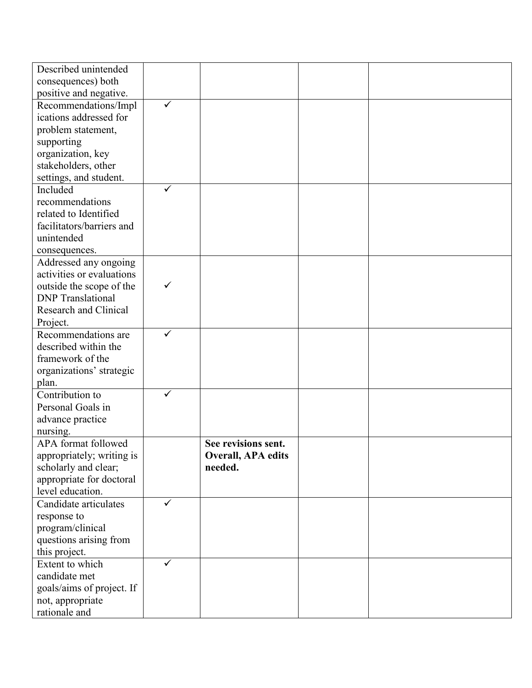| Described unintended              |              |                           |  |
|-----------------------------------|--------------|---------------------------|--|
| consequences) both                |              |                           |  |
| positive and negative.            |              |                           |  |
| Recommendations/Impl              | $\checkmark$ |                           |  |
| ications addressed for            |              |                           |  |
| problem statement,                |              |                           |  |
| supporting                        |              |                           |  |
| organization, key                 |              |                           |  |
| stakeholders, other               |              |                           |  |
| settings, and student.            |              |                           |  |
| Included                          | $\checkmark$ |                           |  |
| recommendations                   |              |                           |  |
| related to Identified             |              |                           |  |
| facilitators/barriers and         |              |                           |  |
| unintended                        |              |                           |  |
| consequences.                     |              |                           |  |
| Addressed any ongoing             |              |                           |  |
| activities or evaluations         |              |                           |  |
| outside the scope of the          | ✓            |                           |  |
| <b>DNP</b> Translational          |              |                           |  |
| <b>Research and Clinical</b>      |              |                           |  |
| Project.                          |              |                           |  |
| Recommendations are               | ✓            |                           |  |
| described within the              |              |                           |  |
| framework of the                  |              |                           |  |
|                                   |              |                           |  |
| organizations' strategic<br>plan. |              |                           |  |
| Contribution to                   | $\checkmark$ |                           |  |
| Personal Goals in                 |              |                           |  |
| advance practice                  |              |                           |  |
| nursing.                          |              |                           |  |
| APA format followed               |              | See revisions sent.       |  |
| appropriately; writing is         |              | <b>Overall, APA edits</b> |  |
| scholarly and clear;              |              | needed.                   |  |
| appropriate for doctoral          |              |                           |  |
| level education.                  |              |                           |  |
| Candidate articulates             | $\checkmark$ |                           |  |
|                                   |              |                           |  |
| response to                       |              |                           |  |
| program/clinical                  |              |                           |  |
| questions arising from            |              |                           |  |
| this project.                     |              |                           |  |
| Extent to which                   | ✓            |                           |  |
| candidate met                     |              |                           |  |
| goals/aims of project. If         |              |                           |  |
| not, appropriate                  |              |                           |  |
| rationale and                     |              |                           |  |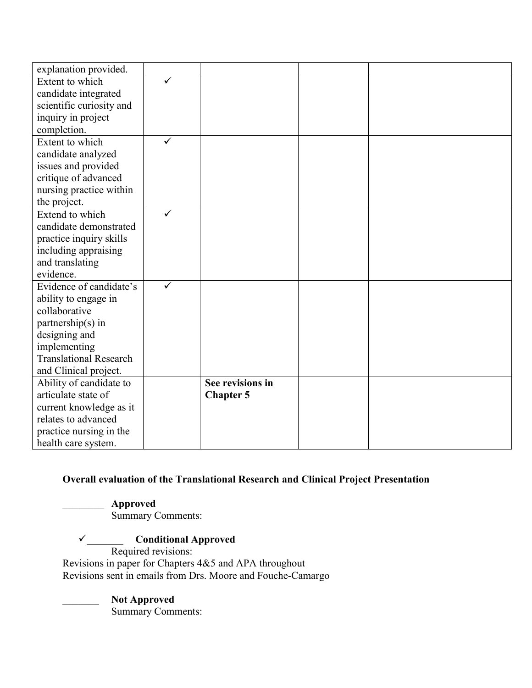| explanation provided.         |              |                  |  |
|-------------------------------|--------------|------------------|--|
| Extent to which               | $\checkmark$ |                  |  |
| candidate integrated          |              |                  |  |
| scientific curiosity and      |              |                  |  |
| inquiry in project            |              |                  |  |
| completion.                   |              |                  |  |
| Extent to which               | ✓            |                  |  |
| candidate analyzed            |              |                  |  |
| issues and provided           |              |                  |  |
| critique of advanced          |              |                  |  |
| nursing practice within       |              |                  |  |
| the project.                  |              |                  |  |
| Extend to which               | ✓            |                  |  |
| candidate demonstrated        |              |                  |  |
| practice inquiry skills       |              |                  |  |
| including appraising          |              |                  |  |
| and translating               |              |                  |  |
| evidence.                     |              |                  |  |
| Evidence of candidate's       |              |                  |  |
| ability to engage in          |              |                  |  |
| collaborative                 |              |                  |  |
| partnership(s) in             |              |                  |  |
| designing and                 |              |                  |  |
| implementing                  |              |                  |  |
| <b>Translational Research</b> |              |                  |  |
| and Clinical project.         |              |                  |  |
| Ability of candidate to       |              | See revisions in |  |
| articulate state of           |              | <b>Chapter 5</b> |  |
| current knowledge as it       |              |                  |  |
| relates to advanced           |              |                  |  |
| practice nursing in the       |              |                  |  |
| health care system.           |              |                  |  |

## **Overall evaluation of the Translational Research and Clinical Project Presentation**

\_\_\_\_\_\_\_\_ **Approved**

Summary Comments:

# ✓\_\_\_\_\_\_\_ **Conditional Approved**

Required revisions: Revisions in paper for Chapters 4&5 and APA throughout Revisions sent in emails from Drs. Moore and Fouche-Camargo

\_\_\_\_\_\_\_ **Not Approved** Summary Comments: